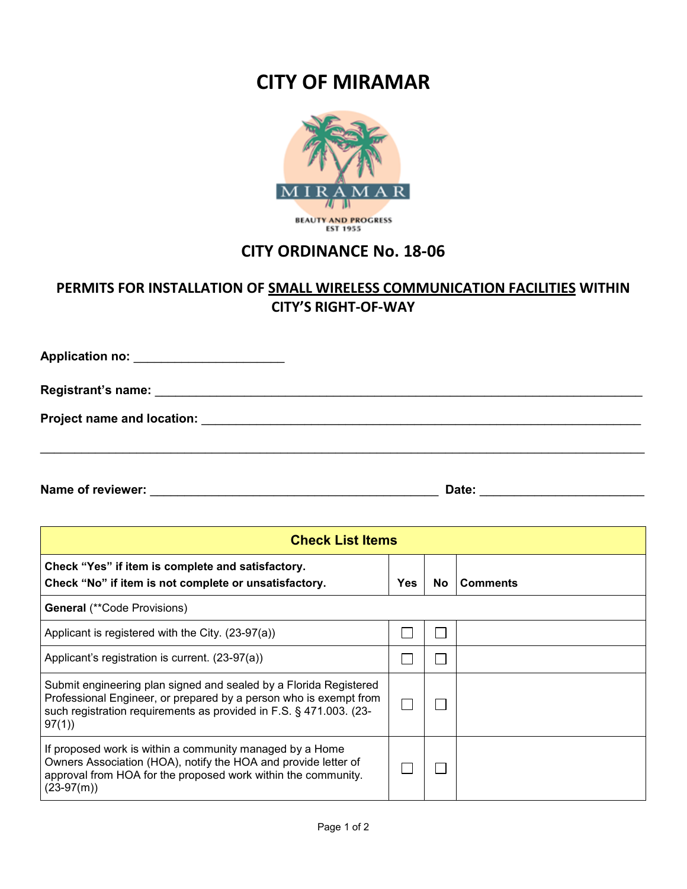## **CITY OF MIRAMAR**



## **CITY ORDINANCE No. 18-06**

## **PERMITS FOR INSTALLATION OF SMALL WIRELESS COMMUNICATION FACILITIES WITHIN CITY'S RIGHT-OF-WAY**

 $\_$  , and the set of the set of the set of the set of the set of the set of the set of the set of the set of the set of the set of the set of the set of the set of the set of the set of the set of the set of the set of th **Application no:** \_\_\_\_\_\_\_\_\_\_\_\_\_\_\_\_\_\_\_\_\_\_ **Registrant's name:** \_\_\_\_\_\_\_\_\_\_\_\_\_\_\_\_\_\_\_\_\_\_\_\_\_\_\_\_\_\_\_\_\_\_\_\_\_\_\_\_\_\_\_\_\_\_\_\_\_\_\_\_\_\_\_\_\_\_\_\_\_\_\_\_\_\_\_\_\_\_\_ **Project name and location:** \_\_\_\_\_\_\_\_\_\_\_\_\_\_\_\_\_\_\_\_\_\_\_\_\_\_\_\_\_\_\_\_\_\_\_\_\_\_\_\_\_\_\_\_\_\_\_\_\_\_\_\_\_\_\_\_\_\_\_\_\_\_\_\_

**Name of reviewer:** \_\_\_\_\_\_\_\_\_\_\_\_\_\_\_\_\_\_\_\_\_\_\_\_\_\_\_\_\_\_\_\_\_\_\_\_\_\_\_\_\_\_ **Date:** \_\_\_\_\_\_\_\_\_\_\_\_\_\_\_\_\_\_\_\_\_\_\_\_

| <b>Check List Items</b>                                                                                                                                                                                               |            |           |                 |  |
|-----------------------------------------------------------------------------------------------------------------------------------------------------------------------------------------------------------------------|------------|-----------|-----------------|--|
| Check "Yes" if item is complete and satisfactory.<br>Check "No" if item is not complete or unsatisfactory.                                                                                                            | <b>Yes</b> | <b>No</b> | <b>Comments</b> |  |
| <b>General</b> (**Code Provisions)                                                                                                                                                                                    |            |           |                 |  |
| Applicant is registered with the City. (23-97(a))                                                                                                                                                                     |            |           |                 |  |
| Applicant's registration is current. (23-97(a))                                                                                                                                                                       |            |           |                 |  |
| Submit engineering plan signed and sealed by a Florida Registered<br>Professional Engineer, or prepared by a person who is exempt from<br>such registration requirements as provided in F.S. § 471.003. (23-<br>97(1) |            |           |                 |  |
| If proposed work is within a community managed by a Home<br>Owners Association (HOA), notify the HOA and provide letter of<br>approval from HOA for the proposed work within the community.<br>$(23-97(m))$           |            |           |                 |  |